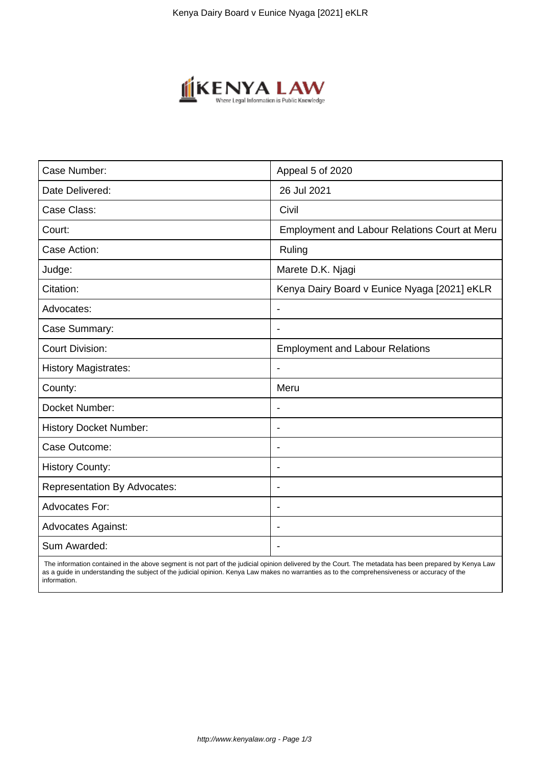

| Case Number:                        | Appeal 5 of 2020                                     |
|-------------------------------------|------------------------------------------------------|
| Date Delivered:                     | 26 Jul 2021                                          |
| Case Class:                         | Civil                                                |
| Court:                              | <b>Employment and Labour Relations Court at Meru</b> |
| Case Action:                        | Ruling                                               |
| Judge:                              | Marete D.K. Njagi                                    |
| Citation:                           | Kenya Dairy Board v Eunice Nyaga [2021] eKLR         |
| Advocates:                          | $\overline{\phantom{a}}$                             |
| Case Summary:                       | $\overline{\phantom{a}}$                             |
| <b>Court Division:</b>              | <b>Employment and Labour Relations</b>               |
| <b>History Magistrates:</b>         |                                                      |
| County:                             | Meru                                                 |
| Docket Number:                      |                                                      |
| <b>History Docket Number:</b>       |                                                      |
| Case Outcome:                       | $\blacksquare$                                       |
| <b>History County:</b>              | $\overline{\phantom{0}}$                             |
| <b>Representation By Advocates:</b> | $\blacksquare$                                       |
| Advocates For:                      | $\overline{\phantom{0}}$                             |
| <b>Advocates Against:</b>           |                                                      |
| Sum Awarded:                        |                                                      |

 The information contained in the above segment is not part of the judicial opinion delivered by the Court. The metadata has been prepared by Kenya Law as a guide in understanding the subject of the judicial opinion. Kenya Law makes no warranties as to the comprehensiveness or accuracy of the information.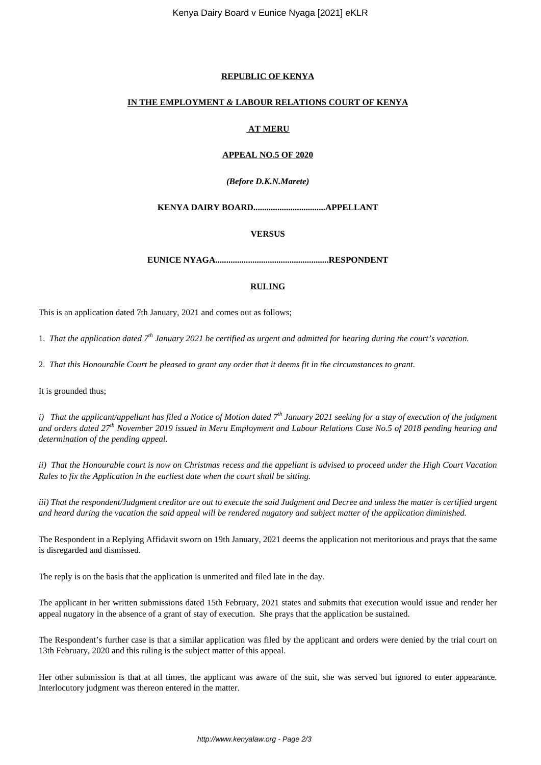#### **REPUBLIC OF KENYA**

#### **IN THE EMPLOYMENT** *&* **LABOUR RELATIONS COURT OF KENYA**

## **AT MERU**

### **APPEAL NO.5 OF 2020**

#### *(Before D.K.N.Marete)*

### **KENYA DAIRY BOARD.................................APPELLANT**

### **VERSUS**

**EUNICE NYAGA....................................................RESPONDENT**

### **RULING**

This is an application dated 7th January, 2021 and comes out as follows;

1. *That the application dated 7th January 2021 be certified as urgent and admitted for hearing during the court's vacation.*

2. *That this Honourable Court be pleased to grant any order that it deems fit in the circumstances to grant.*

It is grounded thus;

*i) That the applicant/appellant has filed a Notice of Motion dated 7th January 2021 seeking for a stay of execution of the judgment and orders dated 27th November 2019 issued in Meru Employment and Labour Relations Case No.5 of 2018 pending hearing and determination of the pending appeal.*

*ii) That the Honourable court is now on Christmas recess and the appellant is advised to proceed under the High Court Vacation Rules to fix the Application in the earliest date when the court shall be sitting.*

*iii) That the respondent/Judgment creditor are out to execute the said Judgment and Decree and unless the matter is certified urgent and heard during the vacation the said appeal will be rendered nugatory and subject matter of the application diminished.*

The Respondent in a Replying Affidavit sworn on 19th January, 2021 deems the application not meritorious and prays that the same is disregarded and dismissed.

The reply is on the basis that the application is unmerited and filed late in the day.

The applicant in her written submissions dated 15th February, 2021 states and submits that execution would issue and render her appeal nugatory in the absence of a grant of stay of execution. She prays that the application be sustained.

The Respondent's further case is that a similar application was filed by the applicant and orders were denied by the trial court on 13th February, 2020 and this ruling is the subject matter of this appeal.

Her other submission is that at all times, the applicant was aware of the suit, she was served but ignored to enter appearance. Interlocutory judgment was thereon entered in the matter.